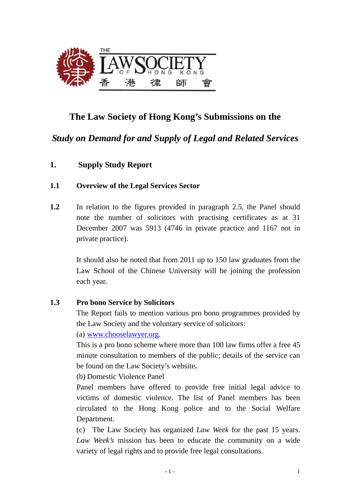

# **The Law Society of Hong Kong's Submissions on the**

*Study on Demand for and Supply of Legal and Related Services* 

**1. Supply Study Report** 

### **1.1 Overview of the Legal Services Sector**

**1.2** In relation to the figures provided in paragraph 2.5, the Panel should note the number of solicitors with practising certificates as at 31 December 2007 was 5913 (4746 in private practice and 1167 not in private practice).

> It should also be noted that from 2011 up to 150 law graduates from the Law School of the Chinese University will be joining the profession each year.

### **1.3 Pro bono Service by Solicitors**

The Report fails to mention various pro bono programmes provided by the Law Society and the voluntary service of solicitors:

(a) www.chooselawyer.org.

This is a pro bono scheme where more than 100 law firms offer a free 45 minute consultation to members of the public; details of the service can be found on the Law Society's website**.** 

(b) Domestic Violence Panel

Panel members have offered to provide free initial legal advice to victims of domestic violence. The list of Panel members has been circulated to the Hong Kong police and to the Social Welfare Department.

(c) The Law Society has organized *Law Week* for the past 15 years. *Law Week's* mission has been to educate the community on a wide variety of legal rights and to provide free legal consultations.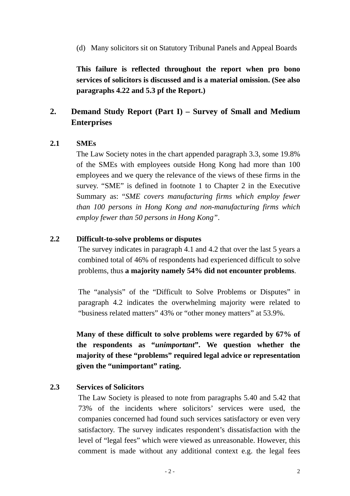(d) Many solicitors sit on Statutory Tribunal Panels and Appeal Boards

**This failure is reflected throughout the report when pro bono services of solicitors is discussed and is a material omission. (See also paragraphs 4.22 and 5.3 pf the Report.)** 

## **2. Demand Study Report (Part I) – Survey of Small and Medium Enterprises**

### **2.1 SMEs**

The Law Society notes in the chart appended paragraph 3.3, some 19.8% of the SMEs with employees outside Hong Kong had more than 100 employees and we query the relevance of the views of these firms in the survey. "SME" is defined in footnote 1 to Chapter 2 in the Executive Summary as: "*SME covers manufacturing firms which employ fewer than 100 persons in Hong Kong and non-manufacturing firms which employ fewer than 50 persons in Hong Kong"*.

#### **2.2 Difficult-to-solve problems or disputes**

The survey indicates in paragraph 4.1 and 4.2 that over the last 5 years a combined total of 46% of respondents had experienced difficult to solve problems, thus **a majority namely 54% did not encounter problems**.

The "analysis" of the "Difficult to Solve Problems or Disputes" in paragraph 4.2 indicates the overwhelming majority were related to "business related matters" 43% or "other money matters" at 53.9%.

**Many of these difficult to solve problems were regarded by 67% of the respondents as "***unimportant***". We question whether the majority of these "problems" required legal advice or representation given the "unimportant" rating.**

### **2.3 Services of Solicitors**

The Law Society is pleased to note from paragraphs 5.40 and 5.42 that 73% of the incidents where solicitors' services were used, the companies concerned had found such services satisfactory or even very satisfactory. The survey indicates respondent's dissatisfaction with the level of "legal fees" which were viewed as unreasonable. However, this comment is made without any additional context e.g. the legal fees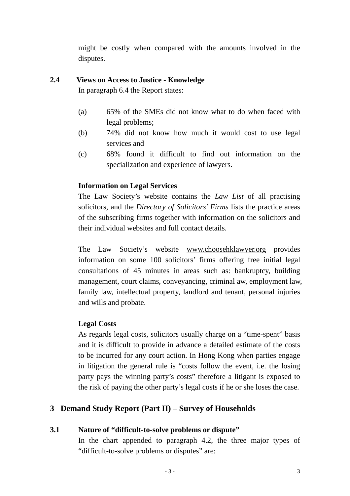might be costly when compared with the amounts involved in the disputes.

### **2.4 Views on Access to Justice - Knowledge**

In paragraph 6.4 the Report states:

- (a) 65% of the SMEs did not know what to do when faced with legal problems;
- (b) 74% did not know how much it would cost to use legal services and
- (c) 68% found it difficult to find out information on the specialization and experience of lawyers.

### **Information on Legal Services**

The Law Society's website contains the *Law List* of all practising solicitors, and the *Directory of Solicitors' Firms* lists the practice areas of the subscribing firms together with information on the solicitors and their individual websites and full contact details.

The Law Society's website www.choosehklawyer.org provides information on some 100 solicitors' firms offering free initial legal consultations of 45 minutes in areas such as: bankruptcy, building management, court claims, conveyancing, criminal aw, employment law, family law, intellectual property, landlord and tenant, personal injuries and wills and probate.

### **Legal Costs**

As regards legal costs, solicitors usually charge on a "time-spent" basis and it is difficult to provide in advance a detailed estimate of the costs to be incurred for any court action. In Hong Kong when parties engage in litigation the general rule is "costs follow the event, i.e. the losing party pays the winning party's costs" therefore a litigant is exposed to the risk of paying the other party's legal costs if he or she loses the case.

# **3 Demand Study Report (Part II) – Survey of Households**

### **3.1 Nature of "difficult-to-solve problems or dispute"**

In the chart appended to paragraph 4.2, the three major types of "difficult-to-solve problems or disputes" are: